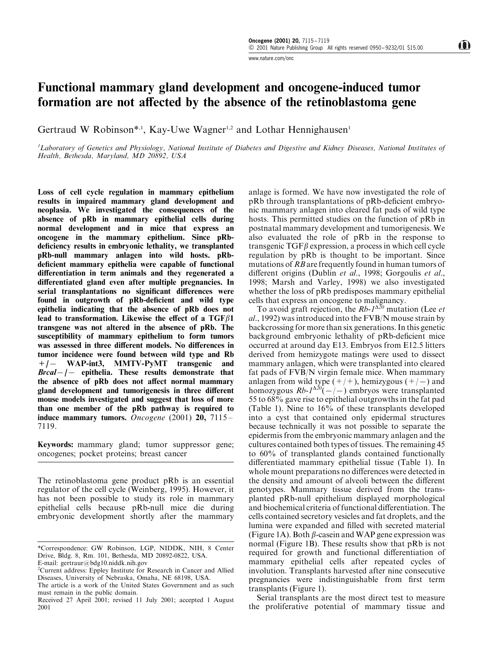## www.nature.com/onc

## <span id="page-0-0"></span>Functional mammary gland development and oncogene-induced tumor formation are not affected by the absence of the retinoblastoma gene

Gertraud W Robinson\*<sup>1</sup>, Kay-Uwe Wagner<sup>1,2</sup> and Lothar Hennighausen<sup>1</sup>

<sup>1</sup>Laboratory of Genetics and Physiology, National Institute of Diabetes and Digestive and Kidney Diseases, National Institutes of Health, Bethesda, Maryland, MD 20892, USA

Loss of cell cycle regulation in mammary epithelium results in impaired mammary gland development and neoplasia. We investigated the consequences of the absence of pRb in mammary epithelial cells during normal development and in mice that express an oncogene in the mammary epithelium. Since pRbdeficiency results in embryonic lethality, we transplanted pRb-null mammary anlagen into wild hosts. pRbdeficient mammary epithelia were capable of functional differentiation in term animals and they regenerated a differentiated gland even after multiple pregnancies. In serial transplantations no significant differences were found in outgrowth of pRb-deficient and wild type epithelia indicating that the absence of pRb does not lead to transformation. Likewise the effect of a  $TGF\beta1$ transgene was not altered in the absence of pRb. The susceptibility of mammary epithelium to form tumors was assessed in three different models. No differences in tumor incidence were found between wild type and Rb +/- WAP-int3, MMTV-PyMT transgenic and  $Breal-/-$  epithelia. These results demonstrate that the absence of pRb does not affect normal mammary gland development and tumorigenesis in three different mouse models investigated and suggest that loss of more than one member of the pRb pathway is required to induce mammary tumors. Oncogene  $(2001)$  20, 7115 -7119.

Keywords: mammary gland; tumor suppressor gene; oncogenes; pocket proteins; breast cancer

The retinoblastoma gene product pRb is an essential regulator of the cell cycle [\(Weinberg, 1995](#page-4-0)). However, it has not been possible to study its role in mammary epithelial cells because pRb-null mice die during embryonic development shortly after the mammary

E-mail: gertraur@bdg10.niddk.nih.gov

<sup>2</sup>Current address: Eppley Institute for Research in Cancer and Allied Diseases, University of Nebraska, Omaha, NE 68198, USA.

anlage is formed. We have now investigated the role of  $pRb$  through transplantations of  $pRb$ -deficient embryonic mammary anlagen into cleared fat pads of wild type hosts. This permitted studies on the function of pRb in postnatal mammary development and tumorigenesis. We also evaluated the role of pRb in the response to transgenic  $TGF\beta$  expression, a process in which cell cycle regulation by pRb is thought to be important. Since mutations of RBare frequently found in human tumors of different origins [\(Dublin](#page-4-0) [et al](#page-4-0)[., 1998; Gorgoulis](#page-4-0) et al[.,](#page-4-0) [1998; Marsh and Varley, 1998\)](#page-4-0) we also investigated whether the loss of pRb predisposes mammary epithelial cells that express an oncogene to malignancy.

To avoid graft rejection, the  $Rb-1^{\Delta\bar{20}}$  mutation [\(Lee](#page-4-0) *[et](#page-4-0)* [al](#page-4-0)[., 1992\)](#page-4-0) was introduced into the FVB/N mouse strain by backcrossing for more than six generations. In this genetic background embryonic lethality of pRb-deficient mice occurred at around day E13. Embryos from E12.5 litters derived from hemizygote matings were used to dissect mammary anlagen, which were transplanted into cleared fat pads of FVB/N virgin female mice. When mammary anlagen from wild type  $(+/+)$ , hemizygous  $(+/-)$  and homozygous  $Rb-1^{\Delta 20}(-/-)$  embryos were transplanted 55 to 68% gave rise to epithelial outgrowths in the fat pad [\(Table 1](#page-1-0)). Nine to 16% of these transplants developed into a cyst that contained only epidermal structures because technically it was not possible to separate the epidermis from the embryonic mammary anlagen and the cultures contained both types of tissues. The remaining 45 to 60% of transplanted glands contained functionally differentiated mammary epithelial tissue (Table 1). In whole mount preparations no differences were detected in the density and amount of alveoli between the different genotypes. Mammary tissue derived from the transplanted pRb-null epithelium displayed morphological and biochemical criteria of functional differentiation. The cells contained secretory vesicles and fat droplets, and the lumina were expanded and filled with secreted material [\(Figure 1A\)](#page-1-0). Both  $\beta$ -casein and WAP gene expression was normal (Figure 1B). These results show that pRb is not required for growth and functional differentiation of mammary epithelial cells after repeated cycles of involution. Transplants harvested after nine consecutive pregnancies were indistinguishable from first term transplants (Figure 1).

Serial transplants are the most direct test to measure the proliferative potential of mammary tissue and

<sup>\*</sup>Correspondence: GW Robinson, LGP, NIDDK, NIH, 8 Center Drive, Bldg. 8, Rm. 101, Bethesda, MD 20892-0822, USA.

The article is a work of the United States Government and as such must remain in the public domain.

Received 27 April 2001; revised 11 July 2001; accepted 1 August 2001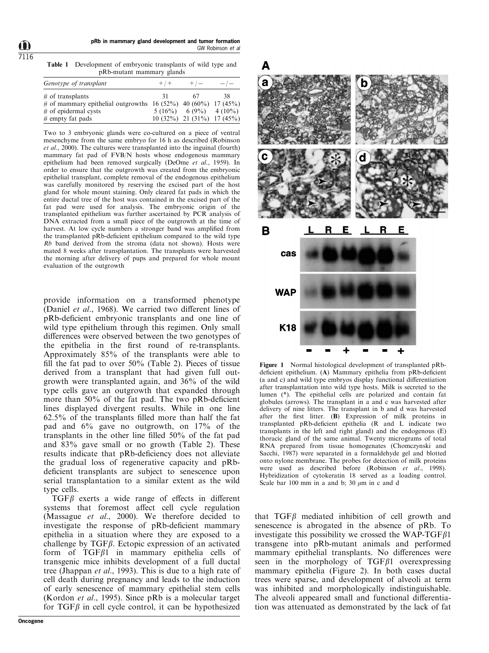<span id="page-1-0"></span>7116

Table 1 Development of embryonic transplants of wild type and pRb-mutant mammary glands

| Genotype of transplant                                             | $+$ / $+$ | $+/-$                        |     |
|--------------------------------------------------------------------|-----------|------------------------------|-----|
| $\#$ of transplants                                                | 31        | -67                          | -38 |
| # of mammary epithelial outgrowths $16 (52\%) 40 (60\%) 17 (45\%)$ |           |                              |     |
| $#$ of epidermal cysts                                             |           | $5(16\%)$ 6 (9%) 4 (10%)     |     |
| $\#$ empty fat pads                                                |           | $10(32\%)$ 21 (31%) 17 (45%) |     |

Two to 3 embryonic glands were co-cultured on a piece of ventral mesenchyme from the same embryo for 16 h as described [\(Robinson](#page-4-0) [et al](#page-4-0)[., 2000\)](#page-4-0). The cultures were transplanted into the inguinal (fourth) mammary fat pad of FVB/N hosts whose endogenous mammary epithelium had been removed surgically ([DeOme](#page-4-0) [et al](#page-4-0)[., 1959\)](#page-4-0). In order to ensure that the outgrowth was created from the embryonic epithelial transplant, complete removal of the endogenous epithelium was carefully monitored by reserving the excised part of the host gland for whole mount staining. Only cleared fat pads in which the entire ductal tree of the host was contained in the excised part of the fat pad were used for analysis. The embryonic origin of the transplanted epithelium was further ascertained by PCR analysis of DNA extracted from a small piece of the outgrowth at the time of harvest. At low cycle numbers a stronger band was amplified from the transplanted pRb-deficient epithelium compared to the wild type Rb band derived from the stroma (data not shown). Hosts were mated 8 weeks after transplantation. The transplants were harvested the morning after delivery of pups and prepared for whole mount evaluation of the outgrowth

provide information on a transformed phenotype ([Daniel](#page-4-0) [et al](#page-4-0)[., 1968](#page-4-0)). We carried two different lines of pRb-deficient embryonic transplants and one line of wild type epithelium through this regimen. Only small differences were observed between the two genotypes of the epithelia in the first round of re-transplants. Approximately 85% of the transplants were able to fill the fat pad to over  $50\%$  [\(Table 2](#page-2-0)). Pieces of tissue derived from a transplant that had given full outgrowth were transplanted again, and 36% of the wild type cells gave an outgrowth that expanded through more than  $50\%$  of the fat pad. The two pRb-deficient lines displayed divergent results. While in one line  $62.5\%$  of the transplants filled more than half the fat pad and 6% gave no outgrowth, on 17% of the transplants in the other line filled  $50\%$  of the fat pad and 83% gave small or no growth ([Table 2](#page-0-0)). These results indicate that pRb-deficiency does not alleviate the gradual loss of regenerative capacity and pRbdeficient transplants are subject to senescence upon serial transplantation to a similar extent as the wild type cells.

 $TGF\beta$  exerts a wide range of effects in different systems that foremost affect cell cycle regulation ([Massague](#page-4-0) [et al](#page-4-0)[., 2000](#page-4-0)). We therefore decided to investigate the response of pRb-deficient mammary epithelia in a situation where they are exposed to a challenge by  $TGF\beta$ . Ectopic expression of an activated form of  $TGF\beta1$  in mammary epithelia cells of transgenic mice inhibits development of a full ductal tree ([Jhappan](#page-4-0) [et al](#page-4-0)[., 1993](#page-4-0)). This is due to a high rate of cell death during pregnancy and leads to the induction of early senescence of mammary epithelial stem cells ([Kordon](#page-4-0) [et al](#page-4-0)[., 1995](#page-4-0)). Since pRb is a molecular target for  $TGF\beta$  in cell cycle control, it can be hypothesized



Figure 1 Normal histological development of transplanted pRbdeficient epithelium. (A) Mammary epithelia from  $pRb$ -deficient (a and c) and wild type embryos display functional differentiation after transplantation into wild type hosts. Milk is secreted to the lumen (\*). The epithelial cells are polarized and contain fat globules (arrows). The transplant in a and c was harvested after delivery of nine litters. The transplant in b and d was harvested after the first litter.  $(B)$  Expression of milk proteins in transplanted pRb-deficient epithelia (R and L indicate two transplants in the left and right gland) and the endogenous (E) thoracic gland of the same animal. Twenty micrograms of total RNA prepared from tissue homogenates (Chomczynski and Sacchi, 1987) were separated in a formaldehyde gel and blotted onto nylone membrane. The probes for detection of milk proteins were used as described before [\(Robinson](#page-4-0) [et al](#page-4-0)[., 1998\)](#page-4-0). Hybridization of cytokeratin 18 served as a loading control. Scale bar 100 mm in a and b; 30  $\mu$ m in c and d

that  $TGF\beta$  mediated inhibition of cell growth and senescence is abrogated in the absence of pRb. To investigate this possibility we crossed the WAP-TGF $\beta$ 1 transgene into pRb-mutant animals and performed mammary epithelial transplants. No differences were seen in the morphology of  $TGF\beta1$  overexpressing mammary epithelia ([Figure 2](#page-2-0)). In both cases ductal trees were sparse, and development of alveoli at term was inhibited and morphologically indistinguishable. The alveoli appeared small and functional differentiation was attenuated as demonstrated by the lack of fat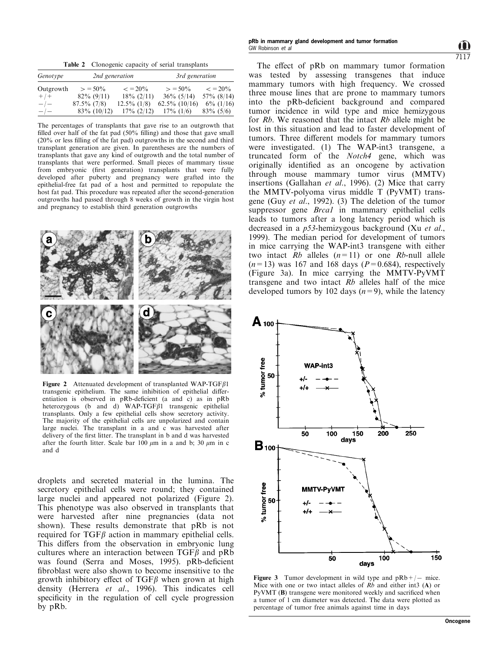Table 2 Clonogenic capacity of serial transplants

<span id="page-2-0"></span>

| Genotype    | 2nd generation |                   | 3rd generation   |                   |  |
|-------------|----------------|-------------------|------------------|-------------------|--|
| Outgrowth   | $> 50\%$       | $\epsilon = 20\%$ | $> 50\%$         | $\epsilon = 20\%$ |  |
| $+$ / +     | $82\%$ (9/11)  | $18\% (2/11)$     | $36\%$ (5/14)    | $57\%$ (8/14)     |  |
| $-\big$ $-$ | $87.5\%$ (7/8) | $12.5\%$ (1/8)    | $62.5\%$ (10/16) | $6\%$ (1/16)      |  |
| $-\prime -$ | $83\%$ (10/12) | $17\% (2/12)$     | $17\%$ (1/6)     | $83\% (5/6)$      |  |

The percentages of transplants that gave rise to an outgrowth that filled over half of the fat pad  $(50\%$  filling) and those that gave small  $(20\%$  or less filling of the fat pad) outgrowths in the second and third transplant generation are given. In parentheses are the numbers of transplants that gave any kind of outgrowth and the total number of transplants that were performed. Small pieces of mammary tissue from embryonic (first generation) transplants that were fully developed after puberty and pregnancy were grafted into the epithelial-free fat pad of a host and permitted to repopulate the host fat pad. This procedure was repeated after the second-generation outgrowths had passed through 8 weeks of growth in the virgin host and pregnancy to establish third generation outgrowths



Figure 2 Attenuated development of transplanted WAP-TGFB1 transgenic epithelium. The same inhibition of epithelial differentiation is observed in pRb-deficient (a and  $c$ ) as in pRb heterozygous (b and d) WAP-TGF $\beta$ 1 transgenic epithelial transplants. Only a few epithelial cells show secretory activity. The majority of the epithelial cells are unpolarized and contain large nuclei. The transplant in a and c was harvested after delivery of the first litter. The transplant in b and d was harvested after the fourth litter. Scale bar 100  $\mu$ m in a and b; 30  $\mu$ m in c and d

droplets and secreted material in the lumina. The secretory epithelial cells were round; they contained large nuclei and appeared not polarized (Figure 2). This phenotype was also observed in transplants that were harvested after nine pregnancies (data not shown). These results demonstrate that pRb is not required for  $TGF\beta$  action in mammary epithelial cells. This differs from the observation in embryonic lung cultures where an interaction between  $TGF\beta$  and pRb was found ([Serra and Moses, 1995](#page-4-0)). pRb-deficient fibroblast were also shown to become insensitive to the growth inhibitory effect of  $TGF\beta$  when grown at high density [\(Herrera](#page-4-0) [et al](#page-4-0)[., 1996](#page-4-0)). This indicates cell specificity in the regulation of cell cycle progression by pRb.

7117

The effect of pRb on mammary tumor formation was tested by assessing transgenes that induce mammary tumors with high frequency. We crossed three mouse lines that are prone to mammary tumors into the pRb-deficient background and compared tumor incidence in wild type and mice hemizygous for  $Rb$ . We reasoned that the intact  $Rb$  allele might be lost in this situation and lead to faster development of tumors. Three different models for mammary tumors were investigated. (1) The WAP-int3 transgene, a truncated form of the Notch4 gene, which was originally identified as an oncogene by activation through mouse mammary tumor virus (MMTV) insertions ([Gallahan](#page-4-0) [et al](#page-4-0)[., 1996\)](#page-4-0). (2) Mice that carry the MMTV-polyoma virus middle T (PyVMT) transgene [\(Guy](#page-4-0) [et al](#page-4-0)[., 1992](#page-4-0)). (3) The deletion of the tumor suppressor gene *Brcal* in mammary epithelial cells leads to tumors after a long latency period which is decreased in a p53-hemizygous background [\(Xu](#page-4-0) [et al](#page-4-0)[.,](#page-4-0) [1999\)](#page-4-0). The median period for development of tumors in mice carrying the WAP-int3 transgene with either two intact  $Rb$  alleles  $(n=11)$  or one  $Rb$ -null allele  $(n=13)$  was 167 and 168 days ( $P=0.684$ ), respectively (Figure 3a). In mice carrying the MMTV-PyVMT transgene and two intact  $Rb$  alleles half of the mice developed tumors by 102 days  $(n=9)$ , while the latency



Figure 3 Tumor development in wild type and  $pRb+/-$  mice. Mice with one or two intact alleles of  $Rb$  and either int3 (A) or  $P<sub>V</sub>WMT$  (B) transgene were monitored weekly and sacrificed when a tumor of 1 cm diameter was detected. The data were plotted as percentage of tumor free animals against time in days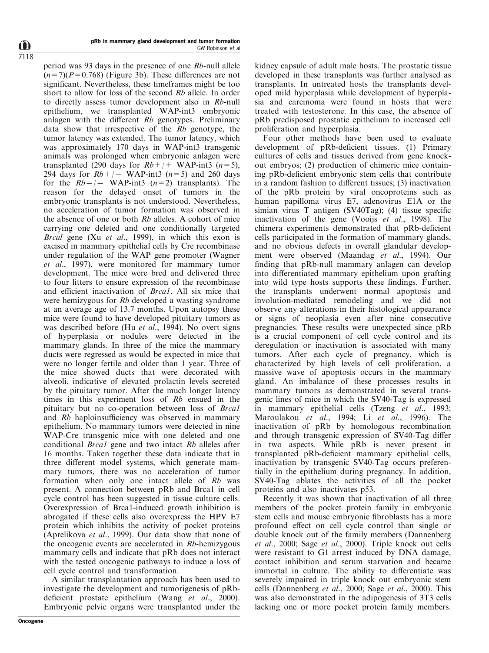period was 93 days in the presence of one Rb-null allele  $(n=7)(P=0.768)$  (Figure 3b). These differences are not significant. Nevertheless, these timeframes might be too short to allow for loss of the second Rb allele. In order to directly assess tumor development also in Rb-null epithelium, we transplanted WAP-int3 embryonic anlagen with the different  $Rb$  genotypes. Preliminary data show that irrespective of the  $Rb$  genotype, the tumor latency was extended. The tumor latency, which was approximately 170 days in WAP-int3 transgenic animals was prolonged when embryonic anlagen were transplanted (290 days for  $Rb+/+$  WAP-int3 (n=5), 294 days for  $Rb+/-$  WAP-int3 (n=5) and 260 days for the  $Rb-/-$  WAP-int3 (n=2) transplants). The reason for the delayed onset of tumors in the embryonic transplants is not understood. Nevertheless, no acceleration of tumor formation was observed in the absence of one or both Rb alleles. A cohort of mice carrying one deleted and one conditionally targeted Brcal gene ([Xu](#page-4-0) [et al](#page-4-0)[., 1999](#page-4-0)), in which this exon is excised in mammary epithelial cells by Cre recombinase under regulation of the WAP gene promoter ([Wagner](#page-4-0) [et al](#page-4-0)[., 1997\)](#page-4-0), were monitored for mammary tumor development. The mice were bred and delivered three to four litters to ensure expression of the recombinase and efficient inactivation of *Brcal*. All six mice that were hemizygous for Rb developed a wasting syndrome at an average age of 13.7 months. Upon autopsy these mice were found to have developed pituitary tumors as was described before [\(Hu](#page-4-0) [et al](#page-4-0)[., 1994\)](#page-4-0). No overt signs of hyperplasia or nodules were detected in the mammary glands. In three of the mice the mammary ducts were regressed as would be expected in mice that were no longer fertile and older than 1 year. Three of the mice showed ducts that were decorated with alveoli, indicative of elevated prolactin levels secreted by the pituitary tumor. After the much longer latency times in this experiment loss of Rb ensued in the pituitary but no co-operation between loss of Brca1 and  $Rb$  haploinsufficiency was observed in mammary epithelium. No mammary tumors were detected in nine WAP-Cre transgenic mice with one deleted and one conditional *Brcal* gene and two intact Rb alleles after 16 months. Taken together these data indicate that in three different model systems, which generate mammary tumors, there was no acceleration of tumor formation when only one intact allele of Rb was present. A connection between pRb and Brca1 in cell cycle control has been suggested in tissue culture cells. Overexpression of Brca1-induced growth inhibition is abrogated if these cells also overexpress the HPV E7 protein which inhibits the activity of pocket proteins ([Aprelikova](#page-4-0) [et al](#page-4-0)[., 1999](#page-4-0)). Our data show that none of the oncogenic events are accelerated in Rb-hemizygous mammary cells and indicate that pRb does not interact with the tested oncogenic pathways to induce a loss of cell cycle control and transformation.

A similar transplantation approach has been used to investigate the development and tumorigenesis of pRb-deficient prostate epithelium ([Wang](#page-4-0) [et al](#page-4-0)[., 2000](#page-4-0)). Embryonic pelvic organs were transplanted under the kidney capsule of adult male hosts. The prostatic tissue developed in these transplants was further analysed as transplants. In untreated hosts the transplants developed mild hyperplasia while development of hyperplasia and carcinoma were found in hosts that were treated with testosterone. In this case, the absence of pRb predisposed prostatic epithelium to increased cell proliferation and hyperplasia.

Four other methods have been used to evaluate development of pRb-deficient tissues. (1) Primary cultures of cells and tissues derived from gene knockout embryos; (2) production of chimeric mice containing pRb-deficient embryonic stem cells that contribute in a random fashion to different tissues;  $(3)$  inactivation of the pRb protein by viral oncoproteins such as human papilloma virus E7, adenovirus E1A or the simian virus T antigen  $(SV40Tag)$ ; (4) tissue specific inactivation of the gene [\(Vooijs](#page-4-0) *[et al](#page-4-0).*, 1998). The chimera experiments demonstrated that pRb-deficient cells participated in the formation of mammary glands, and no obvious defects in overall glandular development were observed ([Maandag](#page-4-0) [et al](#page-4-0)[., 1994\)](#page-4-0). Our finding that pRb-null mammary anlagen can develop into differentiated mammary epithelium upon grafting into wild type hosts supports these findings. Further, the transplants underwent normal apoptosis and involution-mediated remodeling and we did not observe any alterations in their histological appearance or signs of neoplasia even after nine consecutive pregnancies. These results were unexpected since pRb is a crucial component of cell cycle control and its deregulation or inactivation is associated with many tumors. After each cycle of pregnancy, which is characterized by high levels of cell proliferation, a massive wave of apoptosis occurs in the mammary gland. An imbalance of these processes results in mammary tumors as demonstrated in several transgenic lines of mice in which the SV40-Tag is expressed in mammary epithelial cells [\(Tzeng](#page-4-0) [et al](#page-4-0)[., 1993;](#page-4-0) [Maroulakou](#page-4-0) [et al](#page-4-0)[., 1994; Li](#page-4-0) et al[., 1996](#page-4-0)). The inactivation of pRb by homologous recombination and through transgenic expression of SV40-Tag differ in two aspects. While pRb is never present in transplanted pRb-deficient mammary epithelial cells, inactivation by transgenic SV40-Tag occurs preferentially in the epithelium during pregnancy. In addition, SV40-Tag ablates the activities of all the pocket proteins and also inactivates p53.

Recently it was shown that inactivation of all three members of the pocket protein family in embryonic stem cells and mouse embryonic fibroblasts has a more profound effect on cell cycle control than single or double knock out of the family members ([Dannenberg](#page-4-0) [et al](#page-4-0)[., 2000; Sage](#page-4-0) [et al](#page-4-0)[., 2000](#page-4-0)). Triple knock out cells were resistant to G1 arrest induced by DNA damage, contact inhibition and serum starvation and became immortal in culture. The ability to differentiate was severely impaired in triple knock out embryonic stem cells ([Dannenberg](#page-4-0) [et al](#page-4-0)[., 2000](#page-4-0); [Sage](#page-4-0) [et al](#page-4-0)[., 2000\)](#page-4-0). This was also demonstrated in the adipogenesis of 3T3 cells lacking one or more pocket protein family members.